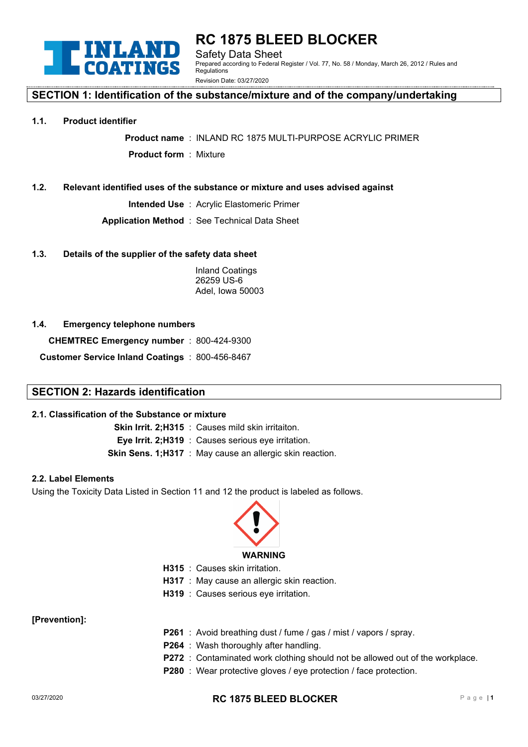

**RC 1875 BLEED BLOCKER** Safety Data Sheet Prepared according to Federal Register / Vol. 77, No. 58 / Monday, March 26, 2012 / Rules and Regulations Revision Date: 03/27/2020

# **SECTION 1: Identification of the substance/mixture and of the company/undertaking**

#### **1.1. Product identifier**

**Product name** : INLAND RC 1875 MULTI-PURPOSE ACRYLIC PRIMER **Product form** : Mixture

#### **1.2. Relevant identified uses of the substance or mixture and uses advised against**

**Intended Use** : Acrylic Elastomeric Primer

**Application Method** : See Technical Data Sheet

#### **1.3. Details of the supplier of the safety data sheet**

Inland Coatings 26259 US-6 Adel, Iowa 50003

#### **1.4. Emergency telephone numbers**

**CHEMTREC Emergency number** : 800-424-9300

**Customer Service Inland Coatings** : 800-456-8467

# **SECTION 2: Hazards identification**

#### **2.1. Classification of the Substance or mixture**

**Skin Irrit. 2;H315** : Causes mild skin irritaiton. **Eye Irrit. 2;H319** : Causes serious eye irritation. **Skin Sens. 1;H317** : May cause an allergic skin reaction.

#### **2.2. Label Elements**

Using the Toxicity Data Listed in Section 11 and 12 the product is labeled as follows.



- **H315** : Causes skin irritation.
- **H317** : May cause an allergic skin reaction.
- **H319** : Causes serious eve irritation.

**[Prevention]:**

- **P261** : Avoid breathing dust / fume / gas / mist / vapors / spray.
- **P264** : Wash thoroughly after handling.
- **P272** : Contaminated work clothing should not be allowed out of the workplace.
- **P280** : Wear protective gloves / eye protection / face protection.

#### 03/27/2020 **RC 1875 BLEED BLOCKER** Pag <sup>e</sup> <sup>|</sup>**<sup>1</sup>**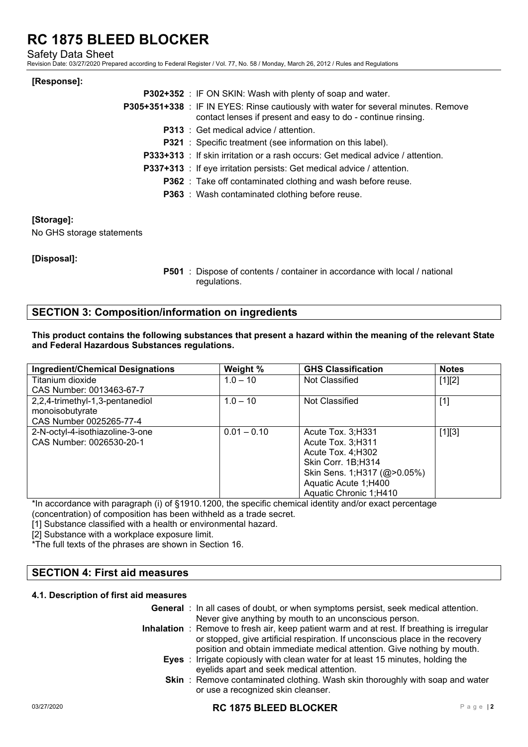Safety Data Sheet

Revision Date: 03/27/2020 Prepared according to Federal Register / Vol. 77, No. 58 / Monday, March 26, 2012 / Rules and Regulations

### **[Response]:**

| <b>P302+352</b> : IF ON SKIN: Wash with plenty of soap and water.                                                                                  |
|----------------------------------------------------------------------------------------------------------------------------------------------------|
| P305+351+338 : IF IN EYES: Rinse cautiously with water for several minutes. Remove<br>contact lenses if present and easy to do - continue rinsing. |
| <b>P313</b> : Get medical advice / attention.                                                                                                      |
| <b>P321</b> : Specific treatment (see information on this label).                                                                                  |
| <b>P333+313</b> : If skin irritation or a rash occurs: Get medical advice / attention.                                                             |
| <b>P337+313</b> : If eye irritation persists: Get medical advice / attention.                                                                      |
| <b>P362</b> : Take off contaminated clothing and wash before reuse.                                                                                |
| <b>P363</b> : Wash contaminated clothing before reuse.                                                                                             |

# **[Storage]:**

No GHS storage statements

# **[Disposal]:**

**P501** : Dispose of contents / container in accordance with local / national regulations.

# **SECTION 3: Composition/information on ingredients**

**This product contains the following substances that present a hazard within the meaning of the relevant State and Federal Hazardous Substances regulations.** 

| <b>Ingredient/Chemical Designations</b> | Weight %      | <b>GHS Classification</b>   | <b>Notes</b> |
|-----------------------------------------|---------------|-----------------------------|--------------|
| Titanium dioxide                        | $1.0 - 10$    | Not Classified              | $[1][2]$     |
| CAS Number: 0013463-67-7                |               |                             |              |
| 2,2,4-trimethyl-1,3-pentanediol         | $1.0 - 10$    | Not Classified              | $[1]$        |
| monoisobutyrate                         |               |                             |              |
| CAS Number 0025265-77-4                 |               |                             |              |
| 2-N-octyl-4-isothiazoline-3-one         | $0.01 - 0.10$ | Acute Tox. 3; H331          | $[1][3]$     |
| CAS Number: 0026530-20-1                |               | Acute Tox. 3;H311           |              |
|                                         |               | Acute Tox. 4; H302          |              |
|                                         |               | Skin Corr. 1B;H314          |              |
|                                         |               | Skin Sens. 1;H317 (@>0.05%) |              |
|                                         |               | Aquatic Acute 1;H400        |              |
|                                         |               | Aquatic Chronic 1;H410      |              |

\*In accordance with paragraph (i) of §1910.1200, the specific chemical identity and/or exact percentage

(concentration) of composition has been withheld as a trade secret.

[1] Substance classified with a health or environmental hazard.

[2] Substance with a workplace exposure limit.

\*The full texts of the phrases are shown in Section 16.

# **SECTION 4: First aid measures**

#### **4.1. Description of first aid measures**

| <b>General</b> : In all cases of doubt, or when symptoms persist, seek medical attention.                                                                                   |
|-----------------------------------------------------------------------------------------------------------------------------------------------------------------------------|
| Never give anything by mouth to an unconscious person.                                                                                                                      |
| Inhalation : Remove to fresh air, keep patient warm and at rest. If breathing is irregular<br>or stopped, give artificial respiration. If unconscious place in the recovery |
| position and obtain immediate medical attention. Give nothing by mouth.                                                                                                     |
| <b>Eyes</b> : Irrigate copiously with clean water for at least 15 minutes, holding the                                                                                      |
| eyelids apart and seek medical attention.                                                                                                                                   |
| <b>Skin</b> : Remove contaminated clothing. Wash skin thoroughly with soap and water                                                                                        |
| or use a recognized skin cleanser.                                                                                                                                          |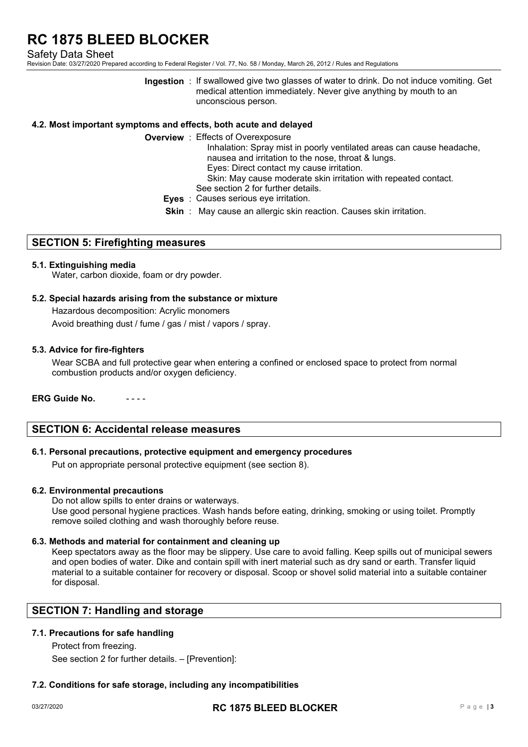Safety Data Sheet

Revision Date: 03/27/2020 Prepared according to Federal Register / Vol. 77, No. 58 / Monday, March 26, 2012 / Rules and Regulations

**Ingestion** : If swallowed give two glasses of water to drink. Do not induce vomiting. Get medical attention immediately. Never give anything by mouth to an unconscious person.

# **4.2. Most important symptoms and effects, both acute and delayed**

- **Overview** : Effects of Overexposure Inhalation: Spray mist in poorly ventilated areas can cause headache, nausea and irritation to the nose, throat & lungs. Eyes: Direct contact my cause irritation.
	- Skin: May cause moderate skin irritation with repeated contact.
	- See section 2 for further details.
	- **Eyes** : Causes serious eye irritation.
	- **Skin** : May cause an allergic skin reaction. Causes skin irritation.

#### **SECTION 5: Firefighting measures**

#### **5.1. Extinguishing media**

Water, carbon dioxide, foam or dry powder.

#### **5.2. Special hazards arising from the substance or mixture**

Hazardous decomposition: Acrylic monomers Avoid breathing dust / fume / gas / mist / vapors / spray.

#### **5.3. Advice for fire-fighters**

Wear SCBA and full protective gear when entering a confined or enclosed space to protect from normal combustion products and/or oxygen deficiency.

#### **ERG Guide No.**

# **SECTION 6: Accidental release measures**

### **6.1. Personal precautions, protective equipment and emergency procedures**

Put on appropriate personal protective equipment (see section 8).

#### **6.2. Environmental precautions**

Do not allow spills to enter drains or waterways. Use good personal hygiene practices. Wash hands before eating, drinking, smoking or using toilet. Promptly remove soiled clothing and wash thoroughly before reuse.

#### **6.3. Methods and material for containment and cleaning up**

Keep spectators away as the floor may be slippery. Use care to avoid falling. Keep spills out of municipal sewers and open bodies of water. Dike and contain spill with inert material such as dry sand or earth. Transfer liquid material to a suitable container for recovery or disposal. Scoop or shovel solid material into a suitable container for disposal.

# **SECTION 7: Handling and storage**

### **7.1. Precautions for safe handling**

Protect from freezing. See section 2 for further details. – [Prevention]:

# **7.2. Conditions for safe storage, including any incompatibilities**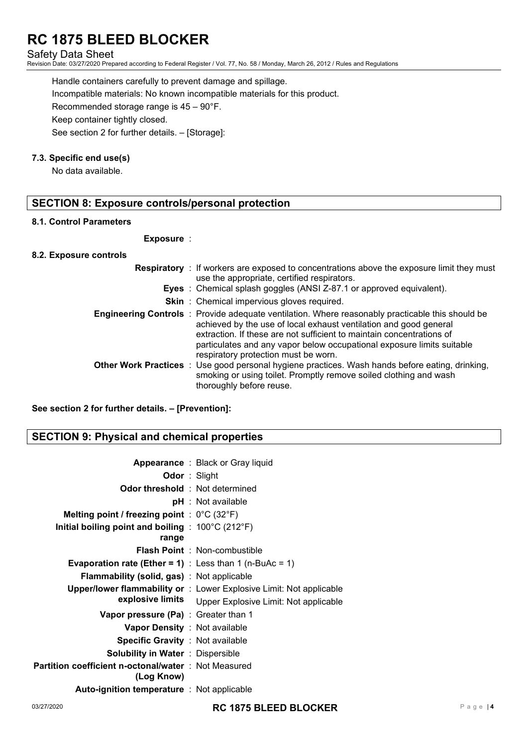# Safety Data Sheet

Revision Date: 03/27/2020 Prepared according to Federal Register / Vol. 77, No. 58 / Monday, March 26, 2012 / Rules and Regulations

Handle containers carefully to prevent damage and spillage. Incompatible materials: No known incompatible materials for this product. Recommended storage range is 45 – 90°F. Keep container tightly closed. See section 2 for further details. – [Storage]:

# **7.3. Specific end use(s)**

No data available.

# **SECTION 8: Exposure controls/personal protection**

#### **8.1. Control Parameters**

#### **Exposure** :

#### **8.2. Exposure controls**

| <b>Respiratory</b> : If workers are exposed to concentrations above the exposure limit they must<br>use the appropriate, certified respirators.                                                                                                                                                                                                                         |
|-------------------------------------------------------------------------------------------------------------------------------------------------------------------------------------------------------------------------------------------------------------------------------------------------------------------------------------------------------------------------|
| <b>Eyes</b> : Chemical splash goggles (ANSI Z-87.1 or approved equivalent).                                                                                                                                                                                                                                                                                             |
| <b>Skin</b> : Chemical impervious gloves required.                                                                                                                                                                                                                                                                                                                      |
| <b>Engineering Controls</b> : Provide adequate ventilation. Where reasonably practicable this should be<br>achieved by the use of local exhaust ventilation and good general<br>extraction. If these are not sufficient to maintain concentrations of<br>particulates and any vapor below occupational exposure limits suitable<br>respiratory protection must be worn. |
| Other Work Practices : Use good personal hygiene practices. Wash hands before eating, drinking,<br>smoking or using toilet. Promptly remove soiled clothing and wash<br>thoroughly before reuse.                                                                                                                                                                        |

**See section 2 for further details. – [Prevention]:**

# **SECTION 9: Physical and chemical properties**

|                  | <b>Appearance</b> : Black or Gray liquid                                   |
|------------------|----------------------------------------------------------------------------|
|                  | <b>Odor</b> : Slight                                                       |
|                  | <b>Odor threshold</b> : Not determined                                     |
|                  | pH : Not available                                                         |
|                  | Melting point / freezing point : $0^{\circ}$ C (32 $^{\circ}$ F)           |
|                  | Initial boiling point and boiling : $100^{\circ}$ C (212 $^{\circ}$ F)     |
|                  |                                                                            |
|                  | <b>Flash Point</b> : Non-combustible                                       |
|                  | <b>Evaporation rate (Ether = 1)</b> : Less than 1 (n-BuAc = 1)             |
|                  | <b>Flammability (solid, gas)</b> : Not applicable                          |
|                  | <b>Upper/lower flammability or</b> : Lower Explosive Limit: Not applicable |
| explosive limits | Upper Explosive Limit: Not applicable                                      |
|                  | <b>Vapor pressure (Pa)</b> : Greater than 1                                |
|                  | Vapor Density: Not available                                               |
|                  | <b>Specific Gravity : Not available</b>                                    |
|                  | <b>Solubility in Water</b> : Dispersible                                   |
|                  | Partition coefficient n-octonal/water : Not Measured                       |
|                  |                                                                            |
|                  | <b>Auto-ignition temperature</b> : Not applicable                          |
|                  |                                                                            |

03/27/2020 **RC 1875 BLEED BLOCKER** Page <sup>|</sup>**<sup>4</sup>**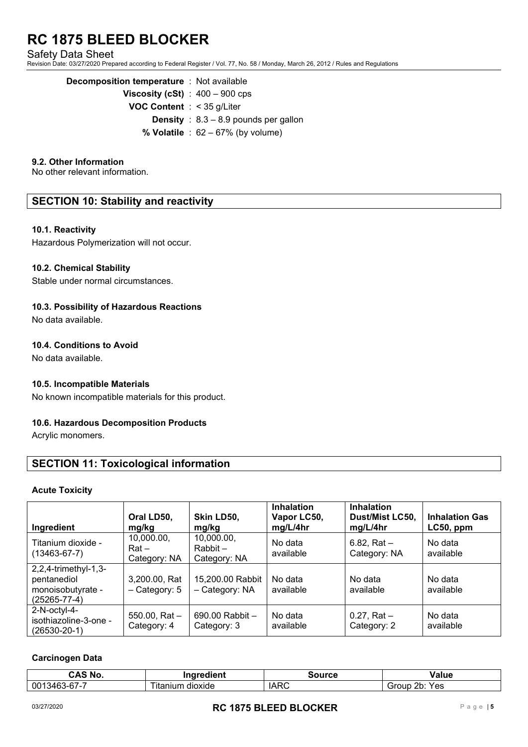Safety Data Sheet

Revision Date: 03/27/2020 Prepared according to Federal Register / Vol. 77, No. 58 / Monday, March 26, 2012 / Rules and Regulations

| <b>Decomposition temperature</b> : Not available |                                                |
|--------------------------------------------------|------------------------------------------------|
|                                                  | <b>Viscosity (cSt)</b> : $400 - 900$ cps       |
| <b>VOC Content</b> : $<$ 35 g/Liter              |                                                |
|                                                  | <b>Density</b> : $8.3 - 8.9$ pounds per gallon |
|                                                  | % Volatile : $62 - 67%$ (by volume)            |

# **9.2. Other Information**

No other relevant information.

# **SECTION 10: Stability and reactivity**

#### **10.1. Reactivity**

Hazardous Polymerization will not occur.

#### **10.2. Chemical Stability**

Stable under normal circumstances.

#### **10.3. Possibility of Hazardous Reactions**

No data available.

# **10.4. Conditions to Avoid**

No data available.

#### **10.5. Incompatible Materials**

No known incompatible materials for this product.

# **10.6. Hazardous Decomposition Products**

Acrylic monomers.

# **SECTION 11: Toxicological information**

#### **Acute Toxicity**

| Ingredient                                                               | Oral LD50,<br>mg/kg                   | Skin LD50,<br>mg/kg                      | <b>Inhalation</b><br>Vapor LC50,<br>mg/L/4hr | <b>Inhalation</b><br>Dust/Mist LC50,<br>mg/L/4hr | <b>Inhalation Gas</b><br>$LC50$ , ppm |
|--------------------------------------------------------------------------|---------------------------------------|------------------------------------------|----------------------------------------------|--------------------------------------------------|---------------------------------------|
| Titanium dioxide -<br>(13463-67-7)                                       | 10,000.00,<br>$Rat -$<br>Category: NA | 10,000.00,<br>$Rabbit -$<br>Category: NA | No data<br>available                         | $6.82$ , Rat $-$<br>Category: NA                 | No data<br>available                  |
| 2,2,4-trimethyl-1,3-<br>pentanediol<br>monoisobutyrate -<br>(25265-77-4) | 3,200.00, Rat<br>- Category: 5        | 15,200.00 Rabbit<br>- Category: NA       | No data<br>available                         | No data<br>available                             | No data<br>available                  |
| 2-N-octyl-4-<br>isothiazoline-3-one -<br>$(26530 - 20 - 1)$              | 550.00, Rat $-$<br>Category: 4        | $690.00$ Rabbit $-$<br>Category: 3       | No data<br>available                         | $0.27$ , Rat $-$<br>Category: 2                  | No data<br>available                  |

# **Carcinogen Data**

| CAS No             | Ingredient         | <b>iource</b>      | aluc/                    |
|--------------------|--------------------|--------------------|--------------------------|
| .3463-67-7<br>0013 | itanium<br>dioxide | <b>IARC</b><br>- ט | つト<br>Yes<br>Group<br>∠∪ |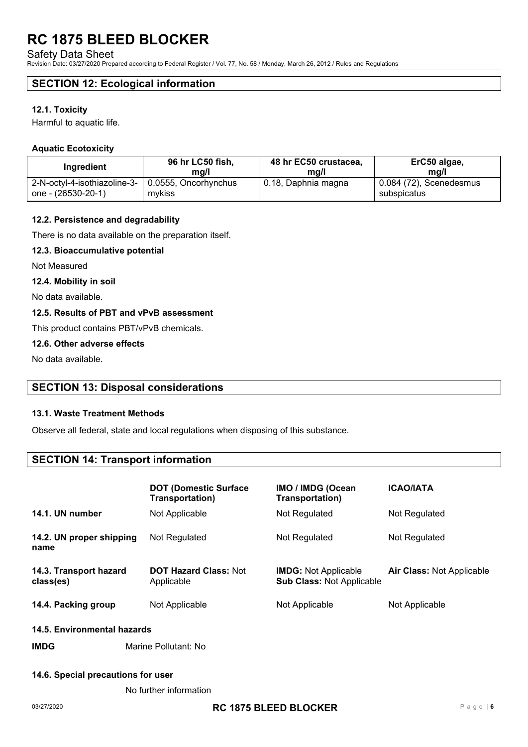Safety Data Sheet

Revision Date: 03/27/2020 Prepared according to Federal Register / Vol. 77, No. 58 / Monday, March 26, 2012 / Rules and Regulations

# **SECTION 12: Ecological information**

#### **12.1. Toxicity**

Harmful to aquatic life.

# **Aquatic Ecotoxicity**

| <b>Ingredient</b>            | 96 hr LC50 fish,     | 48 hr EC50 crustacea, | ErC50 algae,              |
|------------------------------|----------------------|-----------------------|---------------------------|
|                              | ma/l                 | mg/l                  | ma/l                      |
| 2-N-octyl-4-isothiazoline-3- | 0.0555, Oncorhynchus | 0.18, Daphnia magna   | $0.084$ (72), Scenedesmus |
| one - (26530-20-1)           | mykiss               |                       | subspicatus               |

#### **12.2. Persistence and degradability**

There is no data available on the preparation itself.

#### **12.3. Bioaccumulative potential**

Not Measured

#### **12.4. Mobility in soil**

No data available.

### **12.5. Results of PBT and vPvB assessment**

This product contains PBT/vPvB chemicals.

#### **12.6. Other adverse effects**

No data available.

# **SECTION 13: Disposal considerations**

#### **13.1. Waste Treatment Methods**

Observe all federal, state and local regulations when disposing of this substance.

# **SECTION 14: Transport information**

|                                     | <b>DOT (Domestic Surface)</b><br>Transportation) | <b>IMO / IMDG (Ocean</b><br>Transportation)                     | <b>ICAO/IATA</b>                 |  |  |
|-------------------------------------|--------------------------------------------------|-----------------------------------------------------------------|----------------------------------|--|--|
| 14.1. UN number                     | Not Applicable                                   | Not Regulated                                                   | Not Regulated                    |  |  |
| 14.2. UN proper shipping<br>name    | Not Regulated                                    | Not Regulated                                                   | Not Regulated                    |  |  |
| 14.3. Transport hazard<br>class(es) | <b>DOT Hazard Class: Not</b><br>Applicable       | <b>IMDG:</b> Not Applicable<br><b>Sub Class: Not Applicable</b> | <b>Air Class: Not Applicable</b> |  |  |
| 14.4. Packing group                 | Not Applicable                                   | Not Applicable                                                  | Not Applicable                   |  |  |
| AAE Emviremmentel besarde           |                                                  |                                                                 |                                  |  |  |

#### **14.5. Environmental hazards**

# **IMDG** Marine Pollutant: No

# **14.6. Special precautions for user**

No further information